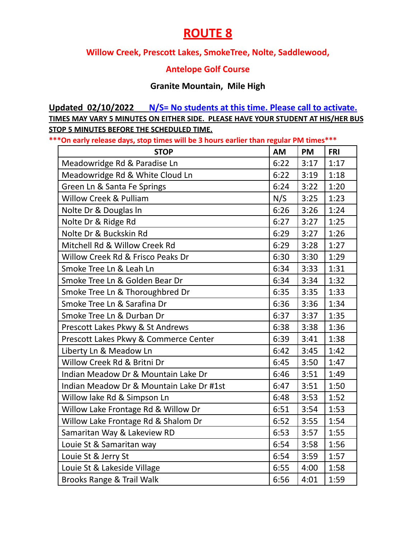## **ROUTE 8**

### **Willow Creek, Prescott Lakes, SmokeTree, Nolte, Saddlewood,**

### **Antelope Golf Course**

#### **Granite Mountain, Mile High**

**Updated 02/10/2022 N/S= No students at this time. Please call to activate. TIMES MAY VARY 5 MINUTES ON EITHER SIDE. PLEASE HAVE YOUR STUDENT AT HIS/HER BUS STOP 5 MINUTES BEFORE THE SCHEDULED TIME.**

**\*\*\*On early release days, stop times will be 3 hours earlier than regular PM times\*\*\***

| <b>STOP</b>                              | <b>AM</b> | <b>PM</b> | <b>FRI</b> |
|------------------------------------------|-----------|-----------|------------|
| Meadowridge Rd & Paradise Ln             | 6:22      | 3:17      | 1:17       |
| Meadowridge Rd & White Cloud Ln          | 6:22      | 3:19      | 1:18       |
| Green Ln & Santa Fe Springs              | 6:24      | 3:22      | 1:20       |
| Willow Creek & Pulliam                   | N/S       | 3:25      | 1:23       |
| Nolte Dr & Douglas In                    | 6:26      | 3:26      | 1:24       |
| Nolte Dr & Ridge Rd                      | 6:27      | 3:27      | 1:25       |
| Nolte Dr & Buckskin Rd                   | 6:29      | 3:27      | 1:26       |
| Mitchell Rd & Willow Creek Rd            | 6:29      | 3:28      | 1:27       |
| Willow Creek Rd & Frisco Peaks Dr        | 6:30      | 3:30      | 1:29       |
| Smoke Tree Ln & Leah Ln                  | 6:34      | 3:33      | 1:31       |
| Smoke Tree Ln & Golden Bear Dr           | 6:34      | 3:34      | 1:32       |
| Smoke Tree Ln & Thoroughbred Dr          | 6:35      | 3:35      | 1:33       |
| Smoke Tree Ln & Sarafina Dr              | 6:36      | 3:36      | 1:34       |
| Smoke Tree Ln & Durban Dr                | 6:37      | 3:37      | 1:35       |
| Prescott Lakes Pkwy & St Andrews         | 6:38      | 3:38      | 1:36       |
| Prescott Lakes Pkwy & Commerce Center    | 6:39      | 3:41      | 1:38       |
| Liberty Ln & Meadow Ln                   | 6:42      | 3:45      | 1:42       |
| Willow Creek Rd & Britni Dr              | 6:45      | 3:50      | 1:47       |
| Indian Meadow Dr & Mountain Lake Dr      | 6:46      | 3:51      | 1:49       |
| Indian Meadow Dr & Mountain Lake Dr #1st | 6:47      | 3:51      | 1:50       |
| Willow lake Rd & Simpson Ln              | 6:48      | 3:53      | 1:52       |
| Willow Lake Frontage Rd & Willow Dr      | 6:51      | 3:54      | 1:53       |
| Willow Lake Frontage Rd & Shalom Dr      | 6:52      | 3:55      | 1:54       |
| Samaritan Way & Lakeview RD              | 6:53      | 3:57      | 1:55       |
| Louie St & Samaritan way                 | 6:54      | 3:58      | 1:56       |
| Louie St & Jerry St                      | 6:54      | 3:59      | 1:57       |
| Louie St & Lakeside Village              | 6:55      | 4:00      | 1:58       |
| Brooks Range & Trail Walk                | 6:56      | 4:01      | 1:59       |